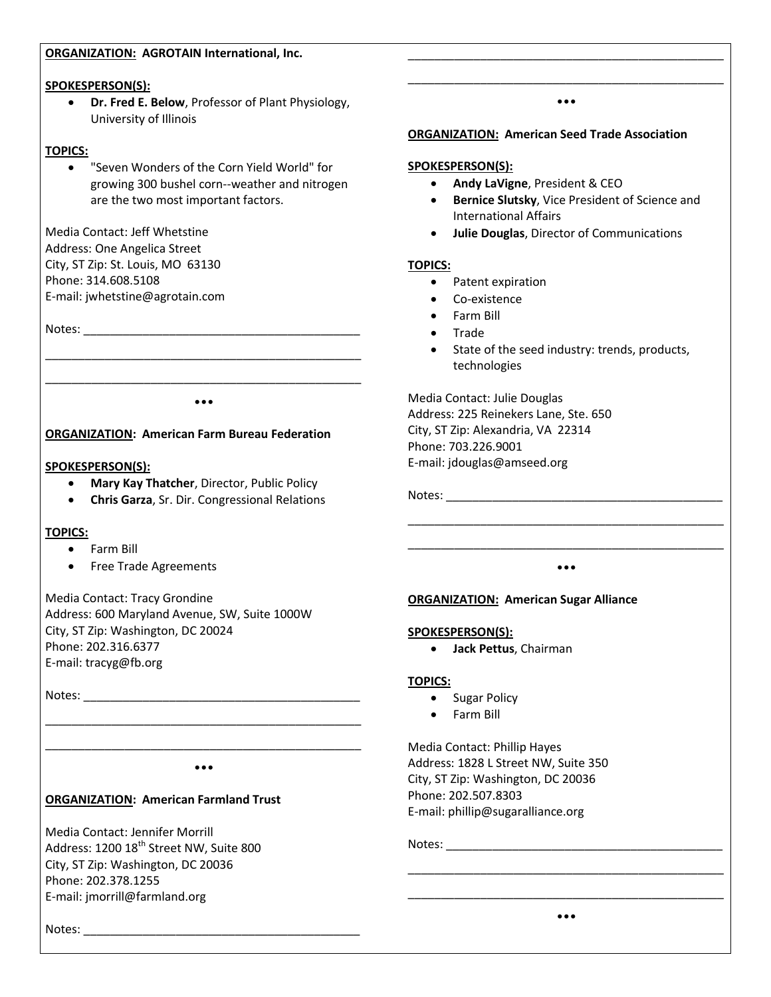#### **ORGANIZATION: AGROTAIN International, Inc.**

#### **SPOKESPERSON(S):**

 **Dr. Fred E. Below**, Professor of Plant Physiology, University of Illinois

#### **TOPICS:**

 "Seven Wonders of the Corn Yield World" for growing 300 bushel corn--weather and nitrogen are the two most important factors.

Media Contact: Jeff Whetstine Address: One Angelica Street City, ST Zip: St. Louis, MO 63130 Phone: 314.608.5108 E-mail: jwhetstine@agrotain.com

Notes: \_\_\_\_\_\_\_\_\_\_\_\_\_\_\_\_\_\_\_\_\_\_\_\_\_\_\_\_\_\_\_\_\_\_\_\_\_\_\_\_\_\_

\_\_\_\_\_\_\_\_\_\_\_\_\_\_\_\_\_\_\_\_\_\_\_\_\_\_\_\_\_\_\_\_\_\_\_\_\_\_\_\_\_\_\_\_\_\_\_\_ •••

\_\_\_\_\_\_\_\_\_\_\_\_\_\_\_\_\_\_\_\_\_\_\_\_\_\_\_\_\_\_\_\_\_\_\_\_\_\_\_\_\_\_\_\_\_\_\_\_

#### **ORGANIZATION: American Farm Bureau Federation**

#### **SPOKESPERSON(S):**

- **Mary Kay Thatcher**, Director, Public Policy
- **Chris Garza**, Sr. Dir. Congressional Relations

#### **TOPICS:**

- Farm Bill
- Free Trade Agreements

Media Contact: Tracy Grondine Address: 600 Maryland Avenue, SW, Suite 1000W City, ST Zip: Washington, DC 20024 Phone: 202.316.6377 E-mail: tracyg@fb.org

Notes: \_\_\_\_\_\_\_\_\_\_\_\_\_\_\_\_\_\_\_\_\_\_\_\_\_\_\_\_\_\_\_\_\_\_\_\_\_\_\_\_\_\_

\_\_\_\_\_\_\_\_\_\_\_\_\_\_\_\_\_\_\_\_\_\_\_\_\_\_\_\_\_\_\_\_\_\_\_\_\_\_\_\_\_\_\_\_\_\_\_\_ •••

\_\_\_\_\_\_\_\_\_\_\_\_\_\_\_\_\_\_\_\_\_\_\_\_\_\_\_\_\_\_\_\_\_\_\_\_\_\_\_\_\_\_\_\_\_\_\_\_

# **ORGANIZATION: American Farmland Trust**

Media Contact: Jennifer Morrill Address: 1200 18<sup>th</sup> Street NW, Suite 800 City, ST Zip: Washington, DC 20036 Phone: 202.378.1255 E-mail: jmorrill@farmland.org

# **ORGANIZATION: American Seed Trade Association**

## **SPOKESPERSON(S):**

- **Andy LaVigne, President & CEO**
- **Bernice Slutsky**, Vice President of Science and International Affairs

\_\_\_\_\_\_\_\_\_\_\_\_\_\_\_\_\_\_\_\_\_\_\_\_\_\_\_\_\_\_\_\_\_\_\_\_\_\_\_\_\_\_\_\_\_\_\_\_ \_\_\_\_\_\_\_\_\_\_\_\_\_\_\_\_\_\_\_\_\_\_\_\_\_\_\_\_\_\_\_\_\_\_\_\_\_\_\_\_\_\_\_\_\_\_\_\_ •••

**Julie Douglas**, Director of Communications

#### **TOPICS:**

- Patent expiration
- Co-existence
- Farm Bill
- Trade
- State of the seed industry: trends, products, technologies

Media Contact: Julie Douglas Address: 225 Reinekers Lane, Ste. 650 City, ST Zip: Alexandria, VA 22314 Phone: 703.226.9001 E-mail: jdouglas@amseed.org

Notes: \_\_\_\_\_\_\_\_\_\_\_\_\_\_\_\_\_\_\_\_\_\_\_\_\_\_\_\_\_\_\_\_\_\_\_\_\_\_\_\_\_\_

\_\_\_\_\_\_\_\_\_\_\_\_\_\_\_\_\_\_\_\_\_\_\_\_\_\_\_\_\_\_\_\_\_\_\_\_\_\_\_\_\_\_\_\_\_\_\_\_ •••

\_\_\_\_\_\_\_\_\_\_\_\_\_\_\_\_\_\_\_\_\_\_\_\_\_\_\_\_\_\_\_\_\_\_\_\_\_\_\_\_\_\_\_\_\_\_\_\_

#### **ORGANIZATION: American Sugar Alliance**

#### **SPOKESPERSON(S):**

**Jack Pettus**, Chairman

#### **TOPICS:**

- Sugar Policy
- Farm Bill

Media Contact: Phillip Hayes Address: 1828 L Street NW, Suite 350 City, ST Zip: Washington, DC 20036 Phone: 202.507.8303 E-mail: phillip@sugaralliance.org

Notes: \_\_\_\_\_\_\_\_\_\_\_\_\_\_\_\_\_\_\_\_\_\_\_\_\_\_\_\_\_\_\_\_\_\_\_\_\_\_\_\_\_\_

\_\_\_\_\_\_\_\_\_\_\_\_\_\_\_\_\_\_\_\_\_\_\_\_\_\_\_\_\_\_\_\_\_\_\_\_\_\_\_\_\_\_\_\_\_\_\_\_ •••

\_\_\_\_\_\_\_\_\_\_\_\_\_\_\_\_\_\_\_\_\_\_\_\_\_\_\_\_\_\_\_\_\_\_\_\_\_\_\_\_\_\_\_\_\_\_\_\_

Notes: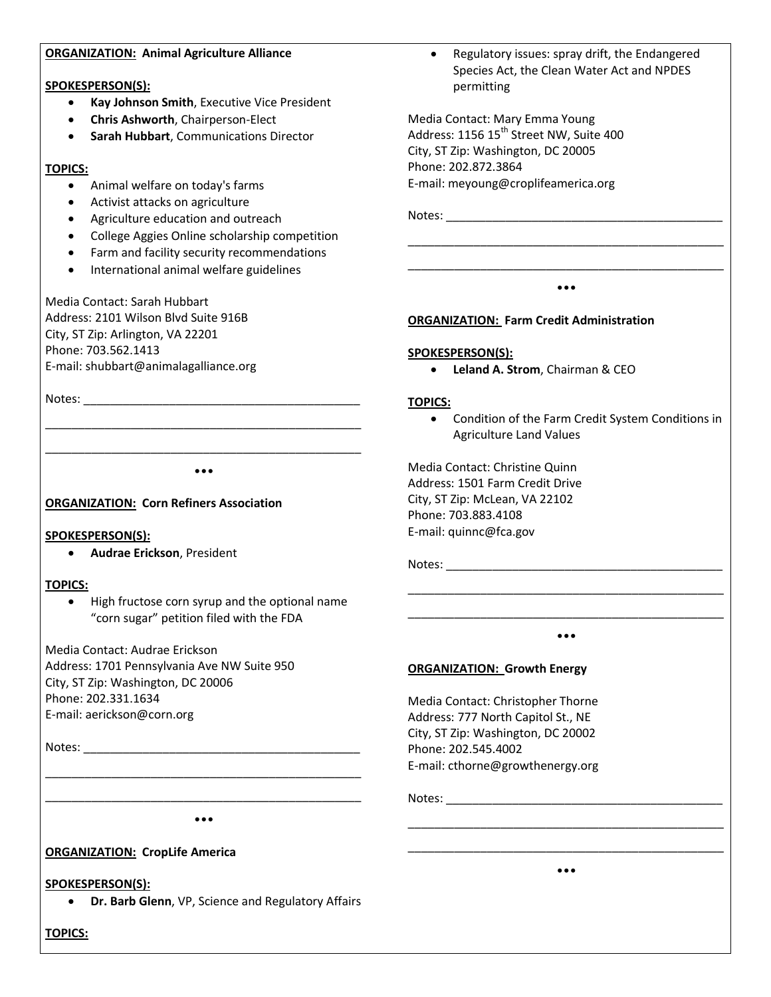#### **ORGANIZATION: Animal Agriculture Alliance**

#### **SPOKESPERSON(S):**

- **Kay Johnson Smith**, Executive Vice President
- **Chris Ashworth**, Chairperson-Elect
- **Sarah Hubbart**, Communications Director

### **TOPICS:**

- Animal welfare on today's farms
- Activist attacks on agriculture
- Agriculture education and outreach
- College Aggies Online scholarship competition
- Farm and facility security recommendations
- International animal welfare guidelines

Media Contact: Sarah Hubbart Address: 2101 Wilson Blvd Suite 916B City, ST Zip: Arlington, VA 22201 Phone: 703.562.1413 E-mail: shubbart@animalagalliance.org

Notes: \_\_\_\_\_\_\_\_\_\_\_\_\_\_\_\_\_\_\_\_\_\_\_\_\_\_\_\_\_\_\_\_\_\_\_\_\_\_\_\_\_\_

\_\_\_\_\_\_\_\_\_\_\_\_\_\_\_\_\_\_\_\_\_\_\_\_\_\_\_\_\_\_\_\_\_\_\_\_\_\_\_\_\_\_\_\_\_\_\_\_ •••

\_\_\_\_\_\_\_\_\_\_\_\_\_\_\_\_\_\_\_\_\_\_\_\_\_\_\_\_\_\_\_\_\_\_\_\_\_\_\_\_\_\_\_\_\_\_\_\_

## **ORGANIZATION: Corn Refiners Association**

#### **SPOKESPERSON(S):**

**Audrae Erickson**, President

#### **TOPICS:**

• High fructose corn syrup and the optional name "corn sugar" petition filed with the FDA

Media Contact: Audrae Erickson Address: 1701 Pennsylvania Ave NW Suite 950 City, ST Zip: Washington, DC 20006 Phone: 202.331.1634 E-mail: aerickson@corn.org

Notes: \_\_\_\_\_\_\_\_\_\_\_\_\_\_\_\_\_\_\_\_\_\_\_\_\_\_\_\_\_\_\_\_\_\_\_\_\_\_\_\_\_\_

Notes: \_\_\_\_\_\_\_\_\_\_\_\_\_\_\_\_\_\_\_\_\_\_\_\_\_\_\_\_\_\_\_\_\_\_\_\_\_\_\_\_\_\_

#### **ORGANIZATION: Farm Credit Administration**

#### **SPOKESPERSON(S):**

**Leland A. Strom**, Chairman & CEO

#### **TOPICS:**

 Condition of the Farm Credit System Conditions in Agriculture Land Values

Media Contact: Christine Quinn Address: 1501 Farm Credit Drive City, ST Zip: McLean, VA 22102 Phone: 703.883.4108 E-mail: quinnc@fca.gov

Notes:

\_\_\_\_\_\_\_\_\_\_\_\_\_\_\_\_\_\_\_\_\_\_\_\_\_\_\_\_\_\_\_\_\_\_\_\_\_\_\_\_\_\_\_\_\_\_\_\_ •••

\_\_\_\_\_\_\_\_\_\_\_\_\_\_\_\_\_\_\_\_\_\_\_\_\_\_\_\_\_\_\_\_\_\_\_\_\_\_\_\_\_\_\_\_\_\_\_\_

#### **ORGANIZATION: Growth Energy**

Media Contact: Christopher Thorne Address: 777 North Capitol St., NE City, ST Zip: Washington, DC 20002 Phone: 202.545.4002 E-mail: cthorne@growthenergy.org

Notes:

\_\_\_\_\_\_\_\_\_\_\_\_\_\_\_\_\_\_\_\_\_\_\_\_\_\_\_\_\_\_\_\_\_\_\_\_\_\_\_\_\_\_\_\_\_\_\_\_ •••

\_\_\_\_\_\_\_\_\_\_\_\_\_\_\_\_\_\_\_\_\_\_\_\_\_\_\_\_\_\_\_\_\_\_\_\_\_\_\_\_\_\_\_\_\_\_\_\_

# **ORGANIZATION: CropLife America**

# **SPOKESPERSON(S):**

**Dr. Barb Glenn**, VP, Science and Regulatory Affairs

**TOPICS:**

 Regulatory issues: spray drift, the Endangered Species Act, the Clean Water Act and NPDES permitting

\_\_\_\_\_\_\_\_\_\_\_\_\_\_\_\_\_\_\_\_\_\_\_\_\_\_\_\_\_\_\_\_\_\_\_\_\_\_\_\_\_\_\_\_\_\_\_\_ \_\_\_\_\_\_\_\_\_\_\_\_\_\_\_\_\_\_\_\_\_\_\_\_\_\_\_\_\_\_\_\_\_\_\_\_\_\_\_\_\_\_\_\_\_\_\_\_ •••

Media Contact: Mary Emma Young Address:  $1156$   $15^{th}$  Street NW, Suite 400 City, ST Zip: Washington, DC 20005 Phone: 202.872.3864 E-mail: meyoung@croplifeamerica.org

\_\_\_\_\_\_\_\_\_\_\_\_\_\_\_\_\_\_\_\_\_\_\_\_\_\_\_\_\_\_\_\_\_\_\_\_\_\_\_\_\_\_\_\_\_\_\_\_ •••

\_\_\_\_\_\_\_\_\_\_\_\_\_\_\_\_\_\_\_\_\_\_\_\_\_\_\_\_\_\_\_\_\_\_\_\_\_\_\_\_\_\_\_\_\_\_\_\_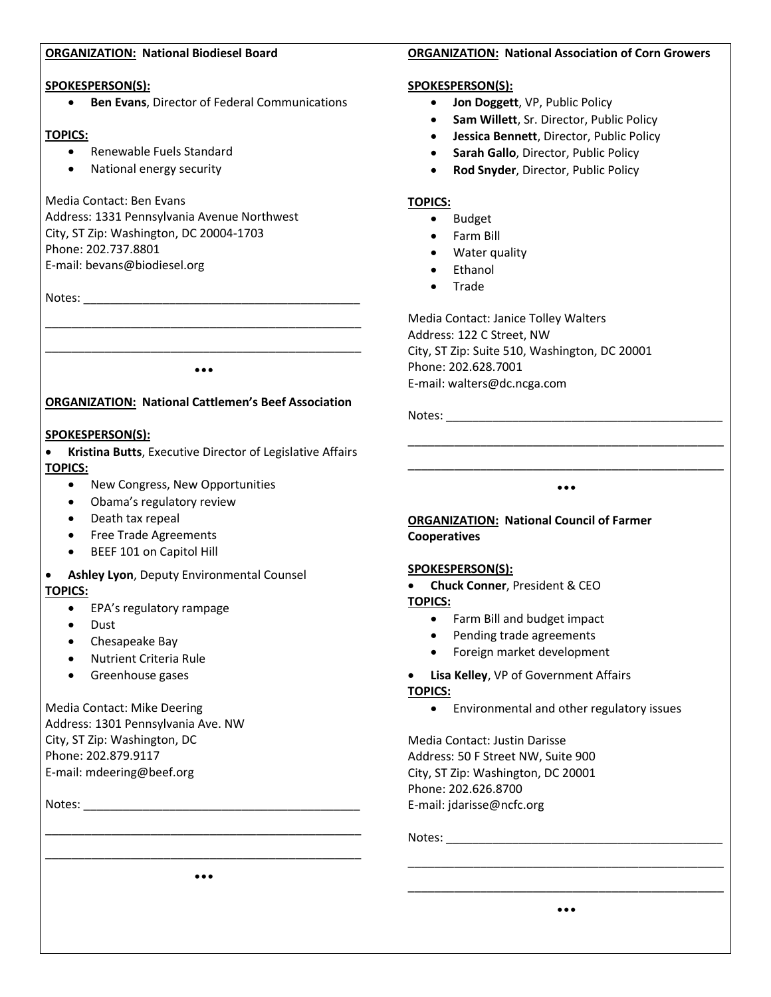#### **ORGANIZATION: National Biodiesel Board**

#### **SPOKESPERSON(S):**

**Ben Evans**, Director of Federal Communications

### **TOPICS:**

- Renewable Fuels Standard
- National energy security

## Media Contact: Ben Evans

Address: 1331 Pennsylvania Avenue Northwest City, ST Zip: Washington, DC 20004-1703 Phone: 202.737.8801 E-mail: bevans@biodiesel.org

Notes: \_\_\_\_\_\_\_\_\_\_\_\_\_\_\_\_\_\_\_\_\_\_\_\_\_\_\_\_\_\_\_\_\_\_\_\_\_\_\_\_\_\_

•••

\_\_\_\_\_\_\_\_\_\_\_\_\_\_\_\_\_\_\_\_\_\_\_\_\_\_\_\_\_\_\_\_\_\_\_\_\_\_\_\_\_\_\_\_\_\_\_\_ \_\_\_\_\_\_\_\_\_\_\_\_\_\_\_\_\_\_\_\_\_\_\_\_\_\_\_\_\_\_\_\_\_\_\_\_\_\_\_\_\_\_\_\_\_\_\_\_

## **ORGANIZATION: National Cattlemen's Beef Association**

## **SPOKESPERSON(S):**

 **Kristina Butts**, Executive Director of Legislative Affairs **TOPICS:**

- New Congress, New Opportunities
- Obama's regulatory review
- Death tax repeal
- **•** Free Trade Agreements
- BEEF 101 on Capitol Hill
- **Ashley Lyon**, Deputy Environmental Counsel **TOPICS:**
	- EPA's regulatory rampage
	- Dust
	- Chesapeake Bay
	- Nutrient Criteria Rule
	- Greenhouse gases

## Media Contact: Mike Deering Address: 1301 Pennsylvania Ave. NW City, ST Zip: Washington, DC Phone: 202.879.9117

E-mail: mdeering@beef.org

Notes: \_\_\_\_\_\_\_\_\_\_\_\_\_\_\_\_\_\_\_\_\_\_\_\_\_\_\_\_\_\_\_\_\_\_\_\_\_\_\_\_\_\_

#### **ORGANIZATION: National Association of Corn Growers**

#### **SPOKESPERSON(S):**

- **Jon Doggett**, VP, Public Policy
- **Sam Willett**, Sr. Director, Public Policy
- **Jessica Bennett**, Director, Public Policy
- **Sarah Gallo**, Director, Public Policy
- **Rod Snyder**, Director, Public Policy

### **TOPICS:**

- Budget
- Farm Bill
- Water quality
- Ethanol
- Trade

Media Contact: Janice Tolley Walters Address: 122 C Street, NW City, ST Zip: Suite 510, Washington, DC 20001 Phone: 202.628.7001 E-mail: walters@dc.ncga.com

Notes: \_\_\_\_\_\_\_\_\_\_\_\_\_\_\_\_\_\_\_\_\_\_\_\_\_\_\_\_\_\_\_\_\_\_\_\_\_\_\_\_\_\_

\_\_\_\_\_\_\_\_\_\_\_\_\_\_\_\_\_\_\_\_\_\_\_\_\_\_\_\_\_\_\_\_\_\_\_\_\_\_\_\_\_\_\_\_\_\_\_\_ •••

\_\_\_\_\_\_\_\_\_\_\_\_\_\_\_\_\_\_\_\_\_\_\_\_\_\_\_\_\_\_\_\_\_\_\_\_\_\_\_\_\_\_\_\_\_\_\_\_

## **ORGANIZATION: National Council of Farmer Cooperatives**

#### **SPOKESPERSON(S):**

**Chuck Conner**, President & CEO

**TOPICS:**

- Farm Bill and budget impact
- Pending trade agreements
- Foreign market development
- **Lisa Kelley**, VP of Government Affairs

#### **TOPICS:**

Environmental and other regulatory issues

Media Contact: Justin Darisse Address: 50 F Street NW, Suite 900 City, ST Zip: Washington, DC 20001 Phone: 202.626.8700 E-mail: jdarisse@ncfc.org

Notes: \_\_\_\_\_\_\_\_\_\_\_\_\_\_\_\_\_\_\_\_\_\_\_\_\_\_\_\_\_\_\_\_\_\_\_\_\_\_\_\_\_\_

\_\_\_\_\_\_\_\_\_\_\_\_\_\_\_\_\_\_\_\_\_\_\_\_\_\_\_\_\_\_\_\_\_\_\_\_\_\_\_\_\_\_\_\_\_\_\_\_ •••

\_\_\_\_\_\_\_\_\_\_\_\_\_\_\_\_\_\_\_\_\_\_\_\_\_\_\_\_\_\_\_\_\_\_\_\_\_\_\_\_\_\_\_\_\_\_\_\_

\_\_\_\_\_\_\_\_\_\_\_\_\_\_\_\_\_\_\_\_\_\_\_\_\_\_\_\_\_\_\_\_\_\_\_\_\_\_\_\_\_\_\_\_\_\_\_\_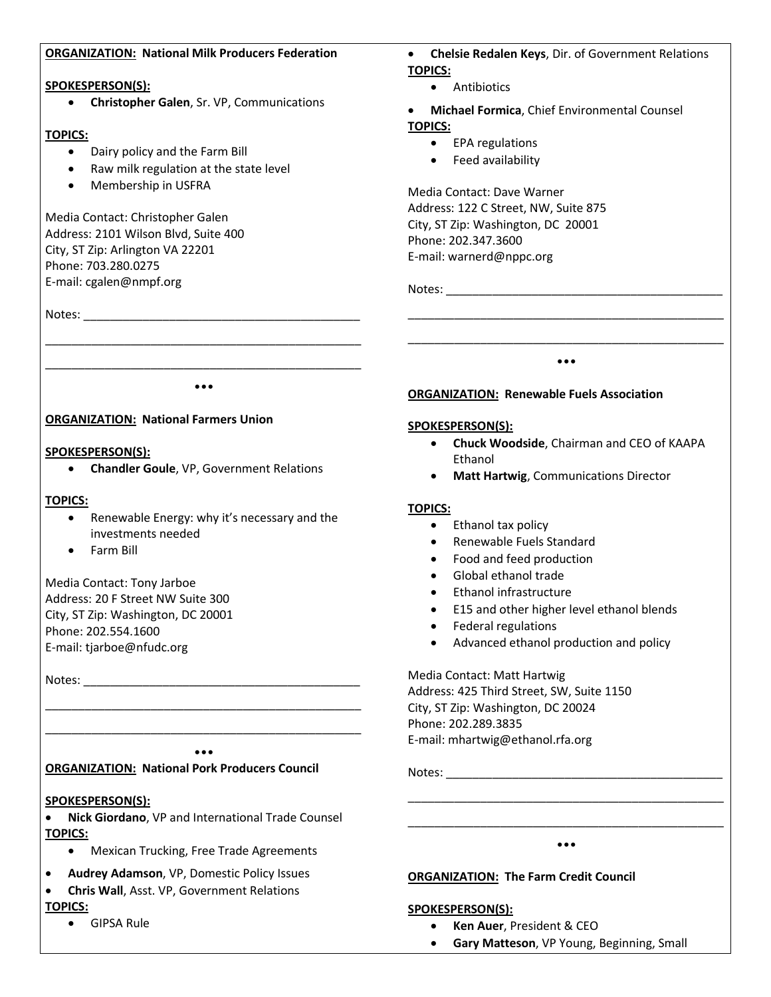#### **ORGANIZATION: National Milk Producers Federation SPOKESPERSON(S): Christopher Galen**, Sr. VP, Communications **TOPICS:** • Dairy policy and the Farm Bill • Raw milk regulation at the state level Membership in USFRA Media Contact: Christopher Galen Address: 2101 Wilson Blvd, Suite 400 City, ST Zip: Arlington VA 22201 Phone: 703.280.0275 E-mail: cgalen@nmpf.org Notes: \_\_\_\_\_\_\_\_\_\_\_\_\_\_\_\_\_\_\_\_\_\_\_\_\_\_\_\_\_\_\_\_\_\_\_\_\_\_\_\_\_\_\_\_\_\_\_\_ \_\_\_\_\_\_\_\_\_\_\_\_\_\_\_\_\_\_\_\_\_\_\_\_\_\_\_\_\_\_\_\_\_\_\_\_\_\_\_\_\_\_\_\_\_\_\_\_ ••• **ORGANIZATION: National Farmers Union SPOKESPERSON(S): Chelsie Redalen Keys**, Dir. of Government Relations **TOPICS:** • Antibiotics **Michael Formica**, Chief Environmental Counsel **TOPICS:** • EPA regulations Feed availability Media Contact: Dave Warner Address: 122 C Street, NW, Suite 875 City, ST Zip: Washington, DC 20001 Phone: 202.347.3600 E-mail: warnerd@nppc.org Notes: \_\_\_\_\_\_\_\_\_\_\_\_\_\_\_\_\_\_\_\_\_\_\_\_\_\_\_\_\_\_\_\_\_\_\_\_\_\_\_\_\_\_ \_\_\_\_\_\_\_\_\_\_\_\_\_\_\_\_\_\_\_\_\_\_\_\_\_\_\_\_\_\_\_\_\_\_\_\_\_\_\_\_\_\_\_\_\_\_\_\_ \_\_\_\_\_\_\_\_\_\_\_\_\_\_\_\_\_\_\_\_\_\_\_\_\_\_\_\_\_\_\_\_\_\_\_\_\_\_\_\_\_\_\_\_\_\_\_\_ ••• **ORGANIZATION: Renewable Fuels Association SPOKESPERSON(S):**

**Chandler Goule**, VP, Government Relations

## **TOPICS:**

- Renewable Energy: why it's necessary and the investments needed
- Farm Bill

Media Contact: Tony Jarboe Address: 20 F Street NW Suite 300 City, ST Zip: Washington, DC 20001 Phone: 202.554.1600 E-mail: tjarboe@nfudc.org

Notes:

# **ORGANIZATION: National Pork Producers Council**

# **SPOKESPERSON(S):**

 **Nick Giordano**, VP and International Trade Counsel **TOPICS:**

\_\_\_\_\_\_\_\_\_\_\_\_\_\_\_\_\_\_\_\_\_\_\_\_\_\_\_\_\_\_\_\_\_\_\_\_\_\_\_\_\_\_\_\_\_\_\_\_ \_\_\_\_\_\_\_\_\_\_\_\_\_\_\_\_\_\_\_\_\_\_\_\_\_\_\_\_\_\_\_\_\_\_\_\_\_\_\_\_\_\_\_\_\_\_\_\_ •••

- Mexican Trucking, Free Trade Agreements
- **Audrey Adamson**, VP, Domestic Policy Issues
- **Chris Wall**, Asst. VP, Government Relations **TOPICS:**
	- GIPSA Rule
- **Chuck Woodside**, Chairman and CEO of KAAPA Ethanol
- **Matt Hartwig**, Communications Director

## **TOPICS:**

- Ethanol tax policy
- Renewable Fuels Standard
- Food and feed production
- Global ethanol trade
- Ethanol infrastructure
- **•** E15 and other higher level ethanol blends
- Federal regulations
- Advanced ethanol production and policy

Media Contact: Matt Hartwig Address: 425 Third Street, SW, Suite 1150 City, ST Zip: Washington, DC 20024 Phone: 202.289.3835 E-mail: mhartwig@ethanol.rfa.org

Notes: \_\_\_\_\_\_\_\_\_\_\_\_\_\_\_\_\_\_\_\_\_\_\_\_\_\_\_\_\_\_\_\_\_\_\_\_\_\_\_\_\_\_

# \_\_\_\_\_\_\_\_\_\_\_\_\_\_\_\_\_\_\_\_\_\_\_\_\_\_\_\_\_\_\_\_\_\_\_\_\_\_\_\_\_\_\_\_\_\_\_\_ •••

\_\_\_\_\_\_\_\_\_\_\_\_\_\_\_\_\_\_\_\_\_\_\_\_\_\_\_\_\_\_\_\_\_\_\_\_\_\_\_\_\_\_\_\_\_\_\_\_

## **ORGANIZATION: The Farm Credit Council**

#### **SPOKESPERSON(S):**

- **Ken Auer**, President & CEO
- **Gary Matteson**, VP Young, Beginning, Small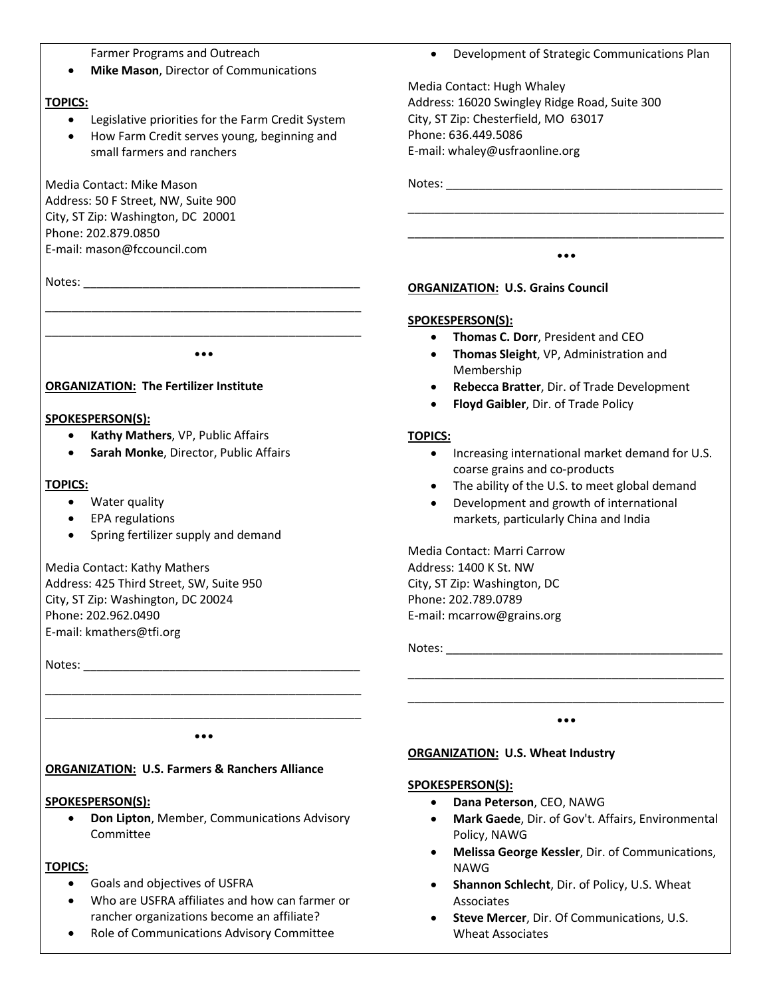Farmer Programs and Outreach

**Mike Mason**, Director of Communications

## **TOPICS:**

- Legislative priorities for the Farm Credit System
- How Farm Credit serves young, beginning and small farmers and ranchers

Media Contact: Mike Mason Address: 50 F Street, NW, Suite 900 City, ST Zip: Washington, DC 20001 Phone: 202.879.0850 E-mail: mason@fccouncil.com

Notes: \_\_\_\_\_\_\_\_\_\_\_\_\_\_\_\_\_\_\_\_\_\_\_\_\_\_\_\_\_\_\_\_\_\_\_\_\_\_\_\_\_\_

\_\_\_\_\_\_\_\_\_\_\_\_\_\_\_\_\_\_\_\_\_\_\_\_\_\_\_\_\_\_\_\_\_\_\_\_\_\_\_\_\_\_\_\_\_\_\_\_ •••

\_\_\_\_\_\_\_\_\_\_\_\_\_\_\_\_\_\_\_\_\_\_\_\_\_\_\_\_\_\_\_\_\_\_\_\_\_\_\_\_\_\_\_\_\_\_\_\_

# **ORGANIZATION: The Fertilizer Institute**

# **SPOKESPERSON(S):**

- **Kathy Mathers**, VP, Public Affairs
- **Sarah Monke**, Director, Public Affairs

# **TOPICS:**

- Water quality
- EPA regulations
- Spring fertilizer supply and demand

Media Contact: Kathy Mathers Address: 425 Third Street, SW, Suite 950 City, ST Zip: Washington, DC 20024 Phone: 202.962.0490 E-mail: kmathers@tfi.org

Notes:

\_\_\_\_\_\_\_\_\_\_\_\_\_\_\_\_\_\_\_\_\_\_\_\_\_\_\_\_\_\_\_\_\_\_\_\_\_\_\_\_\_\_\_\_\_\_\_\_ •••

\_\_\_\_\_\_\_\_\_\_\_\_\_\_\_\_\_\_\_\_\_\_\_\_\_\_\_\_\_\_\_\_\_\_\_\_\_\_\_\_\_\_\_\_\_\_\_\_

# **ORGANIZATION: U.S. Farmers & Ranchers Alliance**

# **SPOKESPERSON(S):**

 **Don Lipton**, Member, Communications Advisory Committee

# **TOPICS:**

- Goals and objectives of USFRA
- Who are USFRA affiliates and how can farmer or rancher organizations become an affiliate?
- Role of Communications Advisory Committee

Development of Strategic Communications Plan

\_\_\_\_\_\_\_\_\_\_\_\_\_\_\_\_\_\_\_\_\_\_\_\_\_\_\_\_\_\_\_\_\_\_\_\_\_\_\_\_\_\_\_\_\_\_\_\_ \_\_\_\_\_\_\_\_\_\_\_\_\_\_\_\_\_\_\_\_\_\_\_\_\_\_\_\_\_\_\_\_\_\_\_\_\_\_\_\_\_\_\_\_\_\_\_\_ •••

Media Contact: Hugh Whaley Address: 16020 Swingley Ridge Road, Suite 300 City, ST Zip: Chesterfield, MO 63017 Phone: 636.449.5086 E-mail: whaley@usfraonline.org

Notes: \_\_\_\_\_\_\_\_\_\_\_\_\_\_\_\_\_\_\_\_\_\_\_\_\_\_\_\_\_\_\_\_\_\_\_\_\_\_\_\_\_\_

## **ORGANIZATION: U.S. Grains Council**

## **SPOKESPERSON(S):**

- **Thomas C. Dorr**, President and CEO
- **Thomas Sleight**, VP, Administration and Membership
- **Rebecca Bratter**, Dir. of Trade Development
- **Floyd Gaibler**, Dir. of Trade Policy

## **TOPICS:**

- Increasing international market demand for U.S. coarse grains and co-products
- The ability of the U.S. to meet global demand
- Development and growth of international markets, particularly China and India

Media Contact: Marri Carrow Address: 1400 K St. NW City, ST Zip: Washington, DC Phone: 202.789.0789 E-mail: mcarrow@grains.org

Notes: \_\_\_\_\_\_\_\_\_\_\_\_\_\_\_\_\_\_\_\_\_\_\_\_\_\_\_\_\_\_\_\_\_\_\_\_\_\_\_\_\_\_

\_\_\_\_\_\_\_\_\_\_\_\_\_\_\_\_\_\_\_\_\_\_\_\_\_\_\_\_\_\_\_\_\_\_\_\_\_\_\_\_\_\_\_\_\_\_\_\_ •••

\_\_\_\_\_\_\_\_\_\_\_\_\_\_\_\_\_\_\_\_\_\_\_\_\_\_\_\_\_\_\_\_\_\_\_\_\_\_\_\_\_\_\_\_\_\_\_\_

# **ORGANIZATION: U.S. Wheat Industry**

## **SPOKESPERSON(S):**

- **Dana Peterson**, CEO, NAWG
- **Mark Gaede**, Dir. of Gov't. Affairs, Environmental Policy, NAWG
- **Melissa George Kessler**, Dir. of Communications, NAWG
- **Shannon Schlecht**, Dir. of Policy, U.S. Wheat Associates
- **Steve Mercer**, Dir. Of Communications, U.S. Wheat Associates